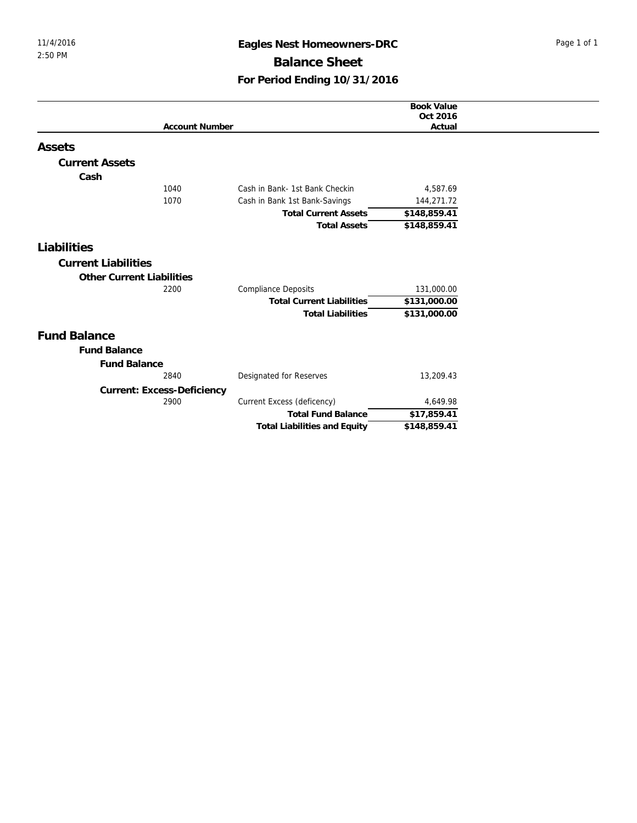## 11/4/2016 **Eagles Nest Homeowners-DRC** Page 1 of 1 **Balance Sheet For Period Ending 10/31/2016**

|                                  |                                     | <b>Book Value</b> |  |
|----------------------------------|-------------------------------------|-------------------|--|
|                                  |                                     | Oct 2016          |  |
|                                  | <b>Account Number</b>               | Actual            |  |
| Assets                           |                                     |                   |  |
| <b>Current Assets</b>            |                                     |                   |  |
| Cash                             |                                     |                   |  |
| 1040                             | Cash in Bank- 1st Bank Checkin      | 4,587.69          |  |
| 1070                             | Cash in Bank 1st Bank-Savings       | 144,271.72        |  |
|                                  | <b>Total Current Assets</b>         | \$148,859.41      |  |
|                                  | <b>Total Assets</b>                 | \$148,859.41      |  |
| Liabilities                      |                                     |                   |  |
| <b>Current Liabilities</b>       |                                     |                   |  |
|                                  |                                     |                   |  |
| <b>Other Current Liabilities</b> |                                     |                   |  |
| 2200                             | <b>Compliance Deposits</b>          | 131,000.00        |  |
|                                  | <b>Total Current Liabilities</b>    | \$131,000.00      |  |
|                                  | <b>Total Liabilities</b>            | \$131,000.00      |  |
| <b>Fund Balance</b>              |                                     |                   |  |
| <b>Fund Balance</b>              |                                     |                   |  |
| <b>Fund Balance</b>              |                                     |                   |  |
| 2840                             | Designated for Reserves             | 13,209.43         |  |
| Current: Excess-Deficiency       |                                     |                   |  |
| 2900                             | Current Excess (deficency)          | 4,649.98          |  |
|                                  | <b>Total Fund Balance</b>           | \$17,859.41       |  |
|                                  | <b>Total Liabilities and Equity</b> | \$148,859.41      |  |
|                                  |                                     |                   |  |